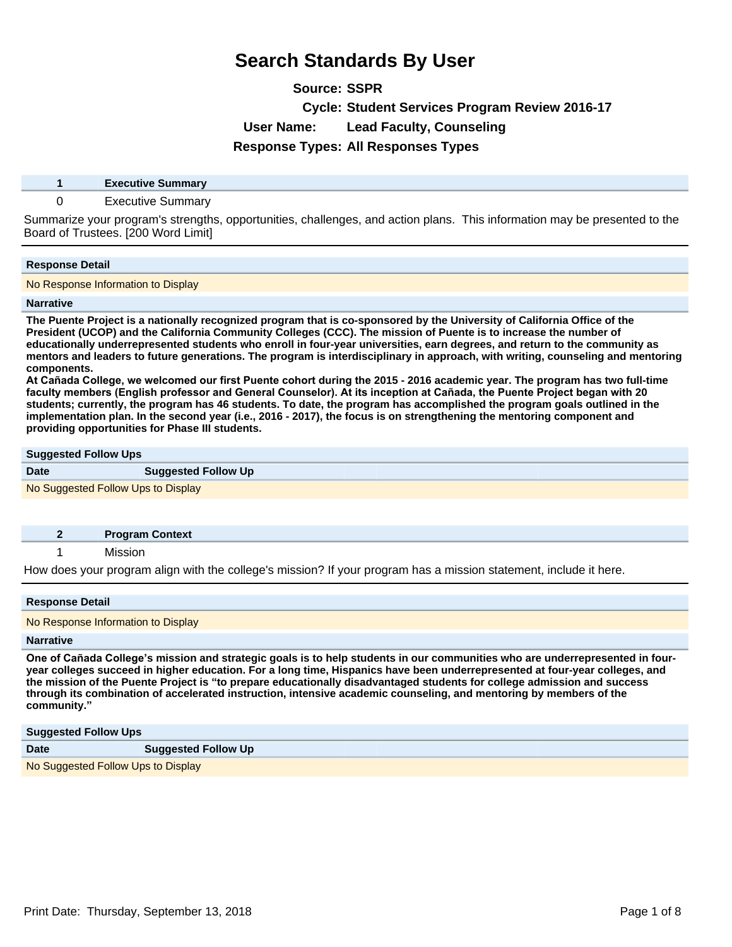**Source: SSPR**

**Cycle: Student Services Program Review 2016-17**

**User Name: Lead Faculty, Counseling**

**Response Types: All Responses Types**

**1 Executive Summary**

### 0 Executive Summary

Summarize your program's strengths, opportunities, challenges, and action plans. This information may be presented to the Board of Trustees. [200 Word Limit]

### **Response Detail**

No Response Information to Display

#### **Narrative**

**The Puente Project is a nationally recognized program that is co-sponsored by the University of California Office of the President (UCOP) and the California Community Colleges (CCC). The mission of Puente is to increase the number of educationally underrepresented students who enroll in four-year universities, earn degrees, and return to the community as mentors and leaders to future generations. The program is interdisciplinary in approach, with writing, counseling and mentoring components.** 

At Cañada College, we welcomed our first Puente cohort during the 2015 - 2016 academic year. The program has two full-time faculty members (English professor and General Counselor). At its inception at Cañada, the Puente Project began with 20 **students; currently, the program has 46 students. To date, the program has accomplished the program goals outlined in the implementation plan. In the second year (i.e., 2016 - 2017), the focus is on strengthening the mentoring component and providing opportunities for Phase III students.**

## **Suggested Follow Ups**

| <b>Date</b>                        | <b>Suggested Follow Up</b> |  |
|------------------------------------|----------------------------|--|
| No Suggested Follow Ups to Display |                            |  |

| <b>Program Context</b> |
|------------------------|
|                        |

1 Mission

How does your program align with the college's mission? If your program has a mission statement, include it here.

#### **Response Detail**

No Response Information to Display

#### **Narrative**

One of Cañada College's mission and strategic goals is to help students in our communities who are underrepresented in four**year colleges succeed in higher education. For a long time, Hispanics have been underrepresented at four-year colleges, and the mission of the Puente Project is ³to prepare educationally disadvantaged students for college admission and success through its combination of accelerated instruction, intensive academic counseling, and mentoring by members of the community.´**

#### **Suggested Follow Ups**

| <b>Date</b>                        | <b>Suggested Follow Up</b> |
|------------------------------------|----------------------------|
| No Suggested Follow Ups to Display |                            |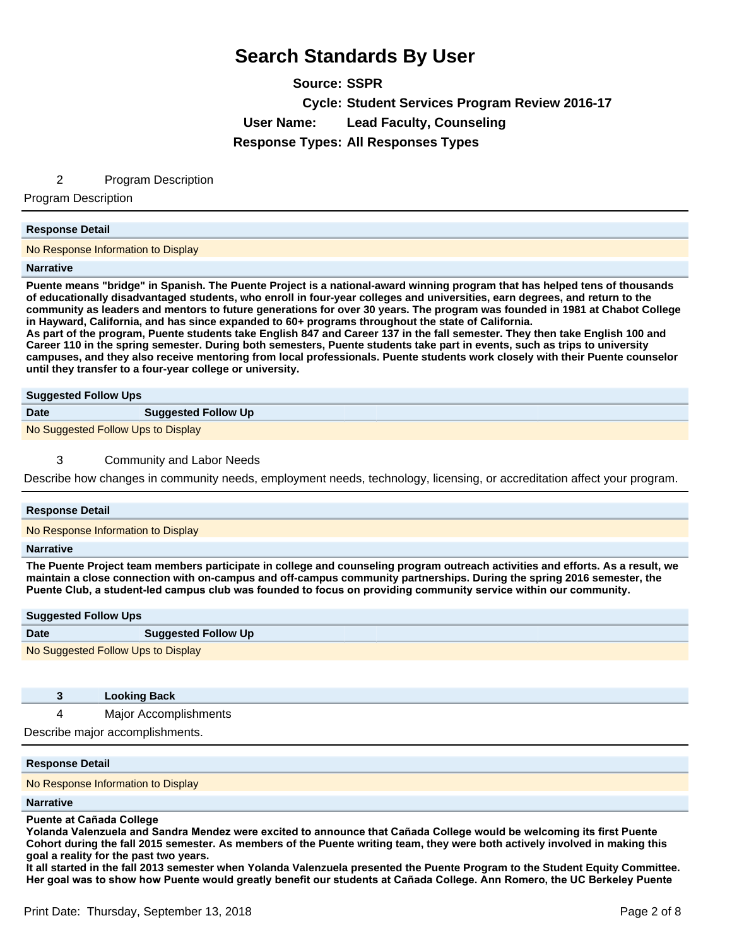**Source: SSPR Cycle: Student Services Program Review 2016-17 User Name: Lead Faculty, Counseling Response Types: All Responses Types**

### 2 Program Description

Program Description

#### **Response Detail**

No Response Information to Display

#### **Narrative**

**Puente means "bridge" in Spanish. The Puente Project is a national-award winning program that has helped tens of thousands of educationally disadvantaged students, who enroll in four-year colleges and universities, earn degrees, and return to the community as leaders and mentors to future generations for over 30 years. The program was founded in 1981 at Chabot College in Hayward, California, and has since expanded to 60+ programs throughout the state of California.** 

**As part of the program, Puente students take English 847 and Career 137 in the fall semester. They then take English 100 and Career 110 in the spring semester. During both semesters, Puente students take part in events, such as trips to university campuses, and they also receive mentoring from local professionals. Puente students work closely with their Puente counselor until they transfer to a four-year college or university.**

| <b>Suggested Follow Ups</b>        |                            |
|------------------------------------|----------------------------|
| <b>Date</b>                        | <b>Suggested Follow Up</b> |
| No Suggested Follow Ups to Display |                            |

### 3 Community and Labor Needs

Describe how changes in community needs, employment needs, technology, licensing, or accreditation affect your program.

#### **Response Detail**

No Response Information to Display

#### **Narrative**

**The Puente Project team members participate in college and counseling program outreach activities and efforts. As a result, we maintain a close connection with on-campus and off-campus community partnerships. During the spring 2016 semester, the**  Puente Club, a student-led campus club was founded to focus on providing community service within our community.

## **Suggested Follow Ups Date Suggested Follow Up**

No Suggested Follow Ups to Display

|  | <b>Looking Back</b> |  |
|--|---------------------|--|
|--|---------------------|--|

4 Major Accomplishments

Describe major accomplishments.

#### **Response Detail**

No Response Information to Display

#### **Narrative**

#### **Puente at Cañada College**

Yolanda Valenzuela and Sandra Mendez were excited to announce that Cañada College would be welcoming its first Puente **Cohort during the fall 2015 semester. As members of the Puente writing team, they were both actively involved in making this goal a reality for the past two years.** 

**It all started in the fall 2013 semester when Yolanda Valenzuela presented the Puente Program to the Student Equity Committee.**  Her goal was to show how Puente would greatly benefit our students at Cañada College. Ann Romero, the UC Berkeley Puente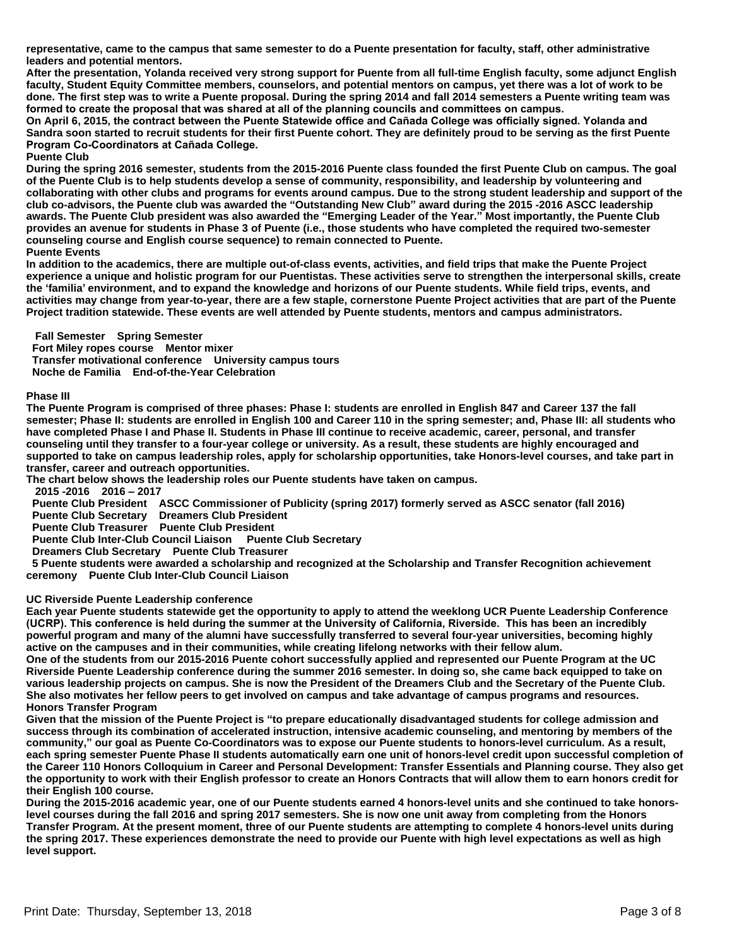**representative, came to the campus that same semester to do a Puente presentation for faculty, staff, other administrative leaders and potential mentors.** 

**After the presentation, Yolanda received very strong support for Puente from all full-time English faculty, some adjunct English faculty, Student Equity Committee members, counselors, and potential mentors on campus, yet there was a lot of work to be done. The first step was to write a Puente proposal. During the spring 2014 and fall 2014 semesters a Puente writing team was**  formed to create the proposal that was shared at all of the planning councils and committees on campus.

On April 6, 2015, the contract between the Puente Statewide office and Cañada College was officially signed, Yolanda and **Sandra soon started to recruit students for their first Puente cohort. They are definitely proud to be serving as the first Puente Program Co-Coordinators at Cañada College.** 

#### **Puente Club**

**During the spring 2016 semester, students from the 2015-2016 Puente class founded the first Puente Club on campus. The goal of the Puente Club is to help students develop a sense of community, responsibility, and leadership by volunteering and collaborating with other clubs and programs for events around campus. Due to the strong student leadership and support of the club co-advisors, the Puente club was awarded the ³Outstanding New Club´award during the 2015 -2016 ASCC leadership awards. The Puente Club president was also awarded the ³Emerging Leader of the Year.´Most importantly, the Puente Club provides an avenue for students in Phase 3 of Puente (i.e., those students who have completed the required two-semester counseling course and English course sequence) to remain connected to Puente.** 

### **Puente Events**

**In addition to the academics, there are multiple out-of-class events, activities, and field trips that make the Puente Project experience a unique and holistic program for our Puentistas. These activities serve to strengthen the interpersonal skills, create the µfamilia¶environment, and to expand the knowledge and horizons of our Puente students. While field trips, events, and activities may change from year-to-year, there are a few staple, cornerstone Puente Project activities that are part of the Puente Project tradition statewide. These events are well attended by Puente students, mentors and campus administrators.** 

 **Fall Semester Spring Semester** 

 **Fort Miley ropes course Mentor mixer Transfer motivational conference University campus tours Noche de Familia End-of-the-Year Celebration** 

#### **Phase III**

**The Puente Program is comprised of three phases: Phase I: students are enrolled in English 847 and Career 137 the fall semester; Phase II: students are enrolled in English 100 and Career 110 in the spring semester; and, Phase III: all students who have completed Phase I and Phase II. Students in Phase III continue to receive academic, career, personal, and transfer counseling until they transfer to a four-year college or university. As a result, these students are highly encouraged and supported to take on campus leadership roles, apply for scholarship opportunities, take Honors-level courses, and take part in transfer, career and outreach opportunities.** 

**The chart below shows the leadership roles our Puente students have taken on campus.** 

 **2015 -2016 2016±2017** 

 **Puente Club President ASCC Commissioner of Publicity (spring 2017) formerly served as ASCC senator (fall 2016)** 

 **Puente Club Secretary Dreamers Club President** 

 **Puente Club Treasurer Puente Club President** 

 **Puente Club Inter-Club Council Liaison Puente Club Secretary** 

 **Dreamers Club Secretary Puente Club Treasurer** 

 **5 Puente students were awarded a scholarship and recognized at the Scholarship and Transfer Recognition achievement ceremony Puente Club Inter-Club Council Liaison** 

### **UC Riverside Puente Leadership conference**

**Each year Puente students statewide get the opportunity to apply to attend the weeklong UCR Puente Leadership Conference**  (UCRP). This conference is held during the summer at the University of California, Riverside. This has been an incredibly **powerful program and many of the alumni have successfully transferred to several four-year universities, becoming highly active on the campuses and in their communities, while creating lifelong networks with their fellow alum.** 

**One of the students from our 2015-2016 Puente cohort successfully applied and represented our Puente Program at the UC Riverside Puente Leadership conference during the summer 2016 semester. In doing so, she came back equipped to take on various leadership projects on campus. She is now the President of the Dreamers Club and the Secretary of the Puente Club. She also motivates her fellow peers to get involved on campus and take advantage of campus programs and resources. Honors Transfer Program** 

Given that the mission of the Puente Project is "to prepare educationally disadvantaged students for college admission and **success through its combination of accelerated instruction, intensive academic counseling, and mentoring by members of the community,´our goal as Puente Co-Coordinators was to expose our Puente students to honors-level curriculum. As a result, each spring semester Puente Phase II students automatically earn one unit of honors-level credit upon successful completion of the Career 110 Honors Colloquium in Career and Personal Development: Transfer Essentials and Planning course. They also get the opportunity to work with their English professor to create an Honors Contracts that will allow them to earn honors credit for their English 100 course.** 

**During the 2015-2016 academic year, one of our Puente students earned 4 honors-level units and she continued to take honorslevel courses during the fall 2016 and spring 2017 semesters. She is now one unit away from completing from the Honors Transfer Program. At the present moment, three of our Puente students are attempting to complete 4 honors-level units during the spring 2017. These experiences demonstrate the need to provide our Puente with high level expectations as well as high level support.**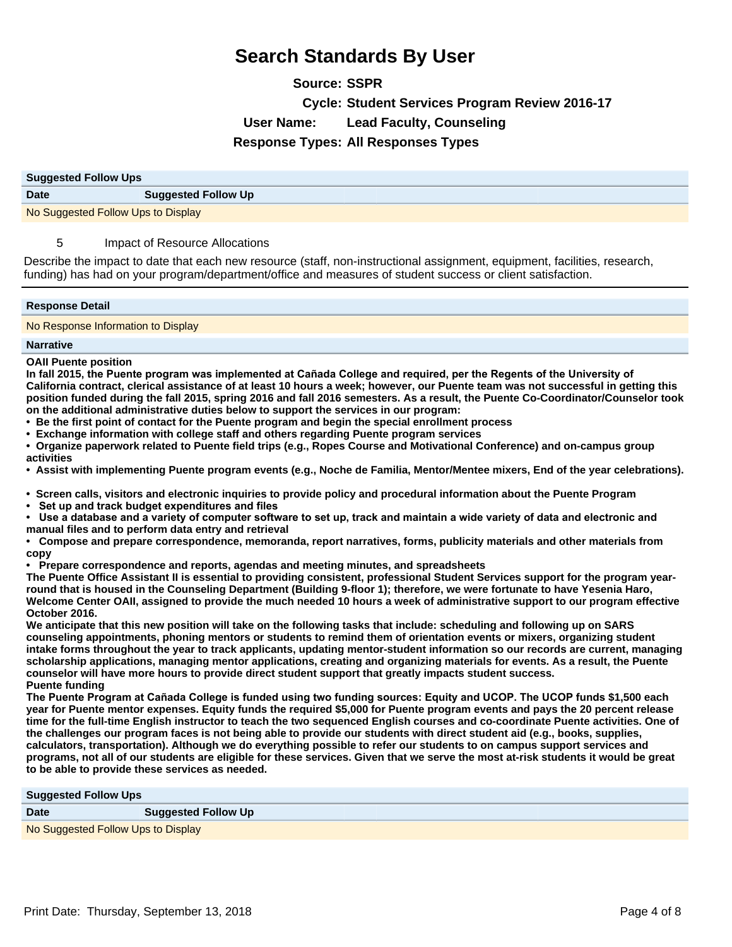**Source: SSPR Cycle: Student Services Program Review 2016-17 User Name: Lead Faculty, Counseling Response Types: All Responses Types**

| <b>Suggested Follow Ups</b>        |                            |
|------------------------------------|----------------------------|
| <b>Date</b>                        | <b>Suggested Follow Up</b> |
| No Suggested Follow Ups to Display |                            |

## 5 Impact of Resource Allocations

Describe the impact to date that each new resource (staff, non-instructional assignment, equipment, facilities, research, funding) has had on your program/department/office and measures of student success or client satisfaction.

### **Response Detail**

No Response Information to Display

#### **Narrative**

#### **OAII Puente position**

In fall 2015, the Puente program was implemented at Cañada College and required, per the Regents of the University of **California contract, clerical assistance of at least 10 hours a week; however, our Puente team was not successful in getting this position funded during the fall 2015, spring 2016 and fall 2016 semesters. As a result, the Puente Co-Coordinator/Counselor took on the additional administrative duties below to support the services in our program:** 

- **Be the first point of contact for the Puente program and begin the special enrollment process**
- **Exchange information with college staff and others regarding Puente program services**

**Organize paperwork related to Puente field trips (e.g., Ropes Course and Motivational Conference) and on-campus group activities** 

**Assist with implementing Puente program events (e.g., Noche de Familia, Mentor/Mentee mixers, End of the year celebrations).** 

**Screen calls, visitors and electronic inquiries to provide policy and procedural information about the Puente Program** 

• Set up and track budget expenditures and files

Use a database and a variety of computer software to set up, track and maintain a wide variety of data and electronic and **manual files and to perform data entry and retrieval** 

**Compose and prepare correspondence, memoranda, report narratives, forms, publicity materials and other materials from copy** 

**Prepare correspondence and reports, agendas and meeting minutes, and spreadsheets** 

**The Puente Office Assistant II is essential to providing consistent, professional Student Services support for the program yearround that is housed in the Counseling Department (Building 9-floor 1); therefore, we were fortunate to have Yesenia Haro, Welcome Center OAII, assigned to provide the much needed 10 hours a week of administrative support to our program effective October 2016.** 

**We anticipate that this new position will take on the following tasks that include: scheduling and following up on SARS counseling appointments, phoning mentors or students to remind them of orientation events or mixers, organizing student intake forms throughout the year to track applicants, updating mentor-student information so our records are current, managing scholarship applications, managing mentor applications, creating and organizing materials for events. As a result, the Puente counselor will have more hours to provide direct student support that greatly impacts student success. Puente funding** 

The Puente Program at Cañada College is funded using two funding sources: Equity and UCOP. The UCOP funds \$1,500 each **year for Puente mentor expenses. Equity funds the required \$5,000 for Puente program events and pays the 20 percent release time for the full-time English instructor to teach the two sequenced English courses and co-coordinate Puente activities. One of the challenges our program faces is not being able to provide our students with direct student aid (e.g., books, supplies, calculators, transportation). Although we do everything possible to refer our students to on campus support services and programs, not all of our students are eligible for these services. Given that we serve the most at-risk students it would be great to be able to provide these services as needed.**

| <b>Suggested Follow Ups</b>        |                            |  |
|------------------------------------|----------------------------|--|
| <b>Date</b>                        | <b>Suggested Follow Up</b> |  |
| No Suggested Follow Ups to Display |                            |  |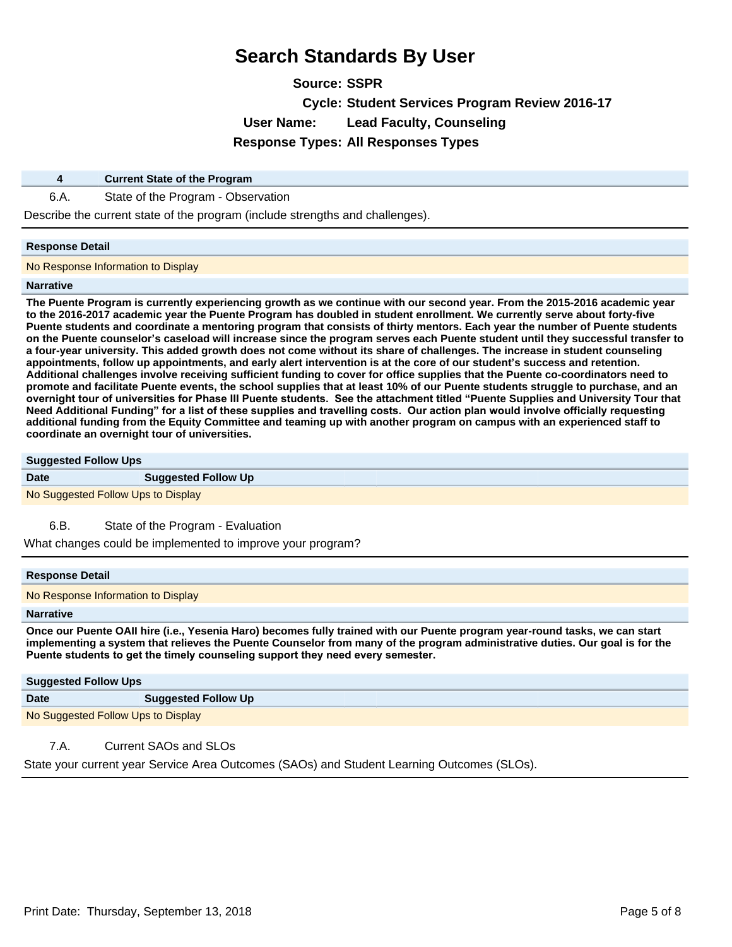**Source: SSPR Cycle: Student Services Program Review 2016-17 User Name: Lead Faculty, Counseling Response Types: All Responses Types**

### **4 Current State of the Program**

6.A. State of the Program - Observation

Describe the current state of the program (include strengths and challenges).

### **Response Detail**

No Response Information to Display

#### **Narrative**

**The Puente Program is currently experiencing growth as we continue with our second year. From the 2015-2016 academic year to the 2016-2017 academic year the Puente Program has doubled in student enrollment. We currently serve about forty-five Puente students and coordinate a mentoring program that consists of thirty mentors. Each year the number of Puente students on the Puente counselor¶s caseload will increase since the program serves each Puente student until they successful transfer to a four-year university. This added growth does not come without its share of challenges. The increase in student counseling appointments, follow up appointments, and early alert intervention is at the core of our student¶s success and retention. Additional challenges involve receiving sufficient funding to cover for office supplies that the Puente co-coordinators need to promote and facilitate Puente events, the school supplies that at least 10% of our Puente students struggle to purchase, and an overnight tour of universities for Phase III Puente students. See the attachment titled "Puente Supplies and University Tour that** Need Additional Funding<sup>"</sup> for a list of these supplies and travelling costs. Our action plan would involve officially requesting **additional funding from the Equity Committee and teaming up with another program on campus with an experienced staff to coordinate an overnight tour of universities.**

#### **Suggested Follow Ups**

| Date | <b>Suggested Follow Up</b> |
|------|----------------------------|
|      |                            |

No Suggested Follow Ups to Display

6.B. State of the Program - Evaluation

What changes could be implemented to improve your program?

### **Response Detail**

No Response Information to Display

### **Narrative**

**Once our Puente OAII hire (i.e., Yesenia Haro) becomes fully trained with our Puente program year-round tasks, we can start implementing a system that relieves the Puente Counselor from many of the program administrative duties. Our goal is for the**  Puente students to get the timely counseling support they need every semester.

| <b>Suggested Follow Ups</b>        |                            |
|------------------------------------|----------------------------|
| <b>Date</b>                        | <b>Suggested Follow Up</b> |
| No Suggested Follow Ups to Display |                            |

## 7.A. Current SAOs and SLOs

State your current year Service Area Outcomes (SAOs) and Student Learning Outcomes (SLOs).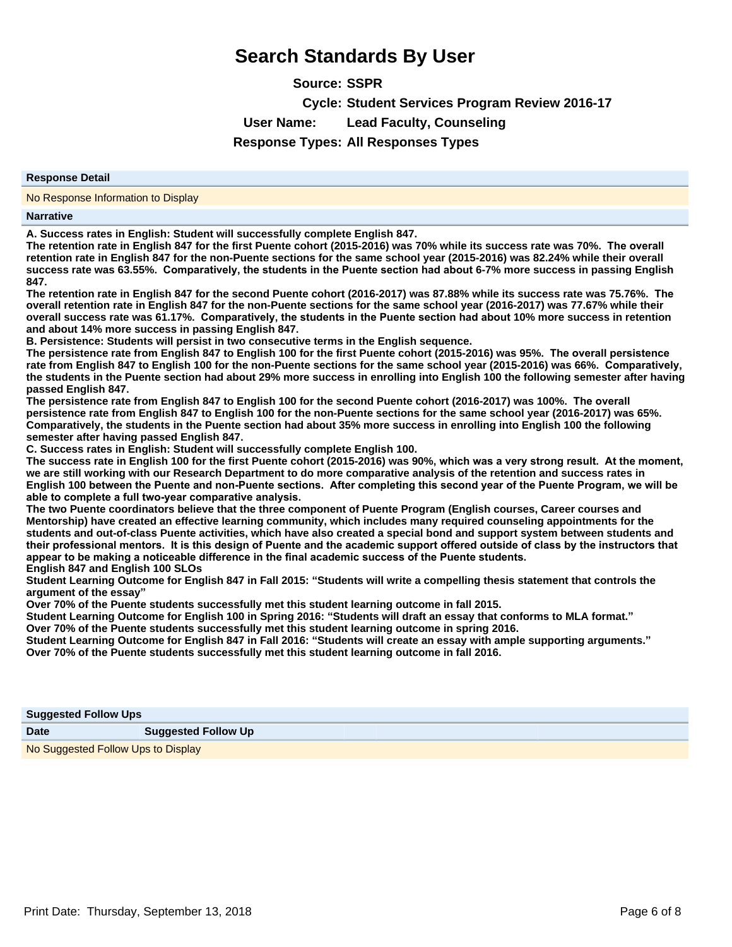**Source: SSPR Cycle: Student Services Program Review 2016-17 User Name: Lead Faculty, Counseling Response Types: All Responses Types**

#### **Response Detail**

No Response Information to Display

#### **Narrative**

**A. Success rates in English: Student will successfully complete English 847.** 

The retention rate in English 847 for the first Puente cohort (2015-2016) was 70% while its success rate was 70%. The overall **retention rate in English 847 for the non-Puente sections for the same school year (2015-2016) was 82.24% while their overall**  success rate was 63.55%. Comparatively, the students in the Puente section had about 6-7% more success in passing English **847**

The retention rate in English 847 for the second Puente cohort (2016-2017) was 87.88% while its success rate was 75.76%. The **overall retention rate in English 847 for the non-Puente sections for the same school year (2016-2017) was 77.67% while their overall success rate was 61.17%. Comparatively, the students in the Puente section had about 10% more success in retention and about 14% more success in passing English 847**

**B. Persistence: Students will persist in two consecutive terms in the English sequence.** 

The persistence rate from English 847 to English 100 for the first Puente cohort (2015-2016) was 95%. The overall persistence rate from English 847 to English 100 for the non-Puente sections for the same school year (2015-2016) was 66%. Comparatively, **the students in the Puente section had about 29% more success in enrolling into English 100 the following semester after having passed English 847**

The persistence rate from English 847 to English 100 for the second Puente cohort (2016-2017) was 100%. The overall **persistence rate from English 847 to English 100 for the non-Puente sections for the same school year (2016-2017) was 65% Comparatively, the students in the Puente section had about 35% more success in enrolling into English 100 the following semester after having passed English 847**

**C. Success rates in English: Student will successfully complete English 100.** 

The success rate in English 100 for the first Puente cohort (2015-2016) was 90%, which was a very strong result. At the moment, **we are still working with our Research Department to do more comparative analysis of the retention and success rates in**  English 100 between the Puente and non-Puente sections. After completing this second year of the Puente Program, we will be able to complete a full two-year comparative analysis.

**The two Puente coordinators believe that the three component of Puente Program (English courses, Career courses and Mentorship) have created an effective learning community, which includes many required counseling appointments for the students and out-of-class Puente activities, which have also created a special bond and support system between students and**  their professional mentors. It is this design of Puente and the academic support offered outside of class by the instructors that appear to be making a noticeable difference in the final academic success of the Puente students. **English 847 and English 100 SLOs** 

**Student Learning Outcome for English 847 in Fall 2015³Students will write a compelling thesis statement that controls the argument of the essay´**

**Over 70% of the Puente students successfully met this student learning outcome in fall 2015.** 

**Student Learning Outcome for English 100 in Spring 2016³Students will draft an essay that conforms to MLA format.´**

**Over 70% of the Puente students successfully met this student learning outcome in spring 2016.** 

**Student Learning Outcome for English 847 in Fall 2016³Students will create an essay with ample supporting arguments.´ Over 70% of the Puente students successfully met this student learning outcome in fall 2016**

| <b>Suggested Follow Ups</b> |                            |  |  |
|-----------------------------|----------------------------|--|--|
| <b>Date</b>                 | <b>Suggested Follow Up</b> |  |  |

No Suggested Follow Ups to Display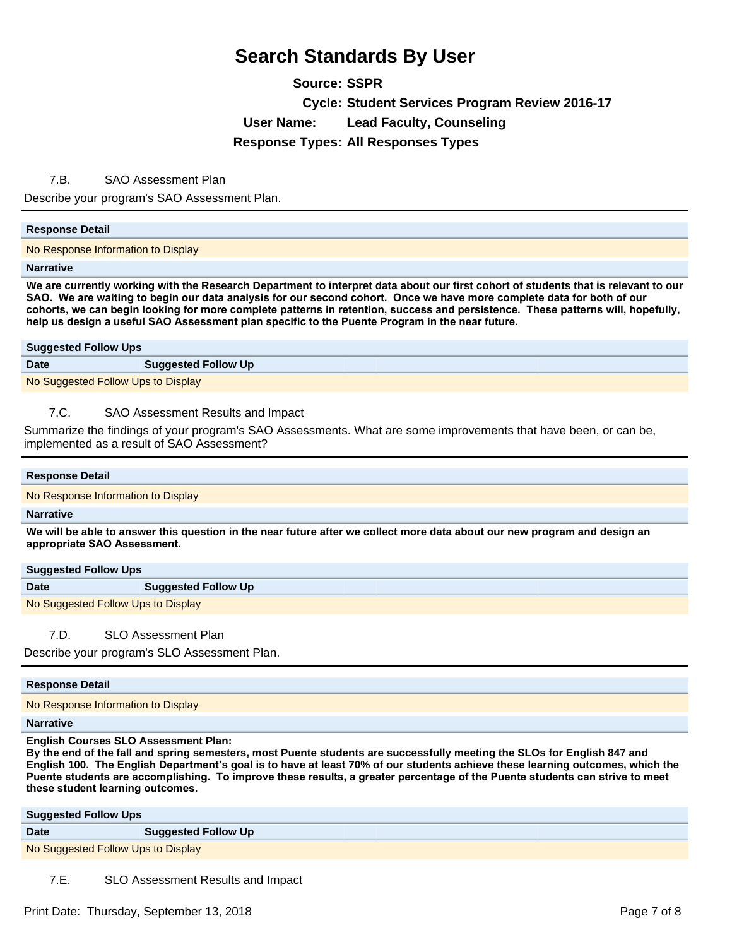**Source: SSPR Cycle: Student Services Program Review 2016-17 User Name: Lead Faculty, Counseling Response Types: All Responses Types**

## 7.B. SAO Assessment Plan

Describe your program's SAO Assessment Plan.

### **Response Detail**

No Response Information to Display

#### **Narrative**

**We are currently working with the Research Department to interpret data about our first cohort of students that is relevant to our**  SAO. We are waiting to begin our data analysis for our second cohort. Once we have more complete data for both of our cohorts, we can begin looking for more complete patterns in retention, success and persistence. These patterns will, hopefully, help us design a useful SAO Assessment plan specific to the Puente Program in the near future.

#### **Suggested Follow Ups**

| <b>Date</b> | <b>Suggested Follow Up</b> |  |
|-------------|----------------------------|--|
| $\cdots$    | .                          |  |

No Suggested Follow Ups to Display

## 7.C. SAO Assessment Results and Impact

Summarize the findings of your program's SAO Assessments. What are some improvements that have been, or can be, implemented as a result of SAO Assessment?

# **Response Detail**

No Response Information to Display

#### **Narrative**

**We will be able to answer this question in the near future after we collect more data about our new program and design an**  appropriate SAO Assessment.

### **Suggested Follow Ups**

**Date Suggested Follow Up** 

No Suggested Follow Ups to Display

7.D. SLO Assessment Plan

Describe your program's SLO Assessment Plan.

### **Response Detail**

No Response Information to Display

#### **Narrative**

**English Courses SLO Assessment Plan:** 

**By the end of the fall and spring semesters, most Puente students are successfully meeting the SLOs for English 847 and**  English 100. The English Department's goal is to have at least 70% of our students achieve these learning outcomes, which the Puente students are accomplishing. To improve these results, a greater percentage of the Puente students can strive to meet these student learning outcomes.

| <b>Suggested Follow Ups</b>        |                            |
|------------------------------------|----------------------------|
| <b>Date</b>                        | <b>Suggested Follow Up</b> |
| No Suggested Follow Ups to Display |                            |

7.E. SLO Assessment Results and Impact